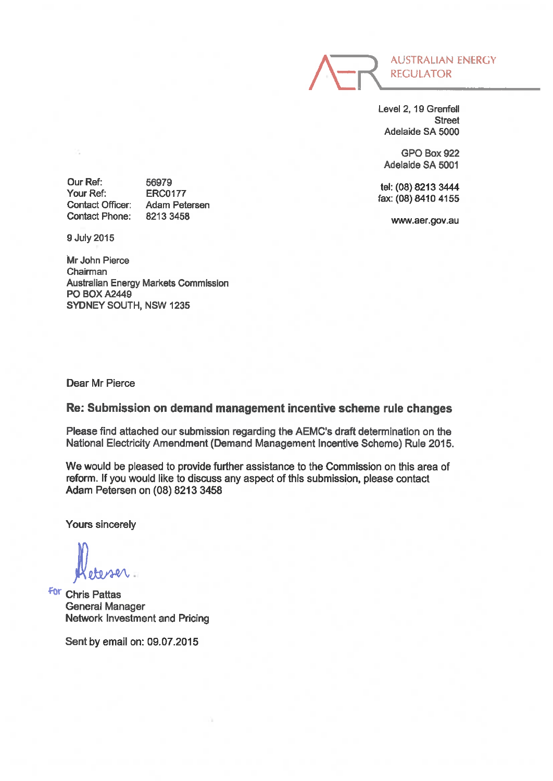

Level 2, 19Grenfell Street Adelaide SA 5000

GPO Box 922 Adelaide SA 5001

tel: (08) 8213 3444 fax: (08) 8410 4155

www.aer.gov.au

Our Ref: Your Ref: Contact Officer: Contact Phone:

56979 ERC0177 Adam Petersen 82133458

9 July 2015

Mr John Pierce Chairman Australian Energy Markets Commission **PO BOX A2449** SYDNEY SOUTH, NSW 1235

Dear Mr Pierce

### Re: Submission on demand management incentive scheme rule changes

Please find attached our submission regarding the AEMC's draft determination on the National Electricity Amendment (Demand Management Incentive Scheme) Rule 2015.

We would be pleased to provide further assistance to the Commission on this area of reform. If you would like to discuss any aspect of this submission, please contact Adam Petereen on (08) 8213 3458

Yours sincerely

letesser

**For Chris Pattas** General Manager Network Investment and Pricing

Sent by email on: 09.07.2015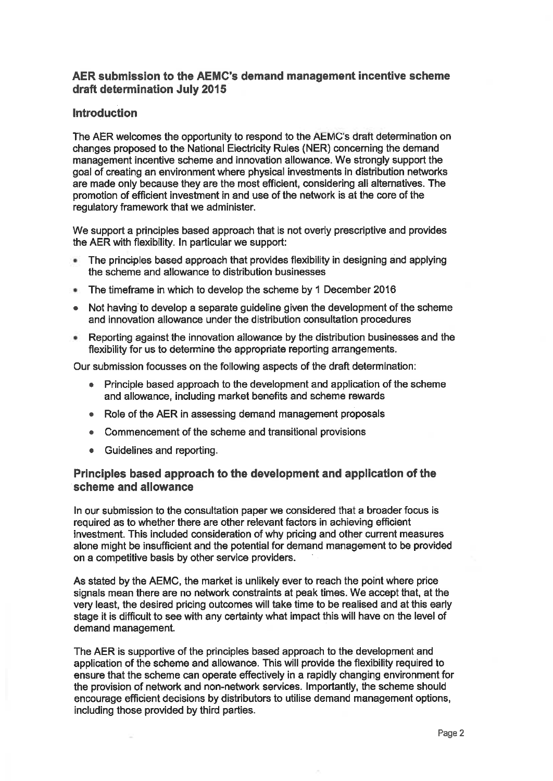# AER submission to the AEMC's demand management incentive scheme draft determination July 2015

### Introduction

The AER welcomes the opportunity to respond to the AEMC's draft determination on changes proposed to the National Electricity Rules (NER) concerning the demand management incentive scheme and innovation allowance. We strongly support the goal of creating an environment where physical investments in distribution networks are made only because they are the most efficient, considering all alternatives. The promotion of efficient investment in and use of the network is at the core of the regulatory framework that we administer.

We support a principles based approach that is not overly prescriptive and provides the AER with flexibility. In particular we support:

- The principles based approach that provides flexibility in designing and applying the scheme and allowance to distribution businesses
- The timeframe in which to develop the scheme by 1 December 2016
- . Not having to develop a separate guideline given the development of the scheme and innovation allowance under the distribution consultation procedures
- Reporting against the innovation allowance by the distribution businesses and the flexibility for us to determine the appropriate reporting arrangements.

Our submission focusses on the following aspects of the draft determination:

- . Principle based approach to the development and application of the scheme and allowance, including market benefits and scheme rewards
- . Role of the AER in assessing demand management proposals
- . Commencement of the scheme and transitional provisions
- . Guidelines and reporting.

#### Principles based approach to the development and application of the scheme and allowance

In our submission to the consultation paper we considered that a broader focus is required as to whether there are other relevant factors in achieving efficient investment. This included consideration of why pricing and other current measures alone might be insufficient and the potential for demand management to be provided on a competitive basis by other service providers.

As stated by the AEMC, the market is unlikely ever to reach the point where price signals mean there are no network constraints at peak times. We accept that, at the very least, the desired pricing outcomes will take time to be realised and at this early stage it is difficult to see with any certainty what impact this will have on the level of demand management.

The AER is supportive of the principles based approach to the development and application of the scheme and allowance. This will provide the flexibility required to ensure that the scheme can operate effectively in a rapidly changing environment for the provision of network and non-network services. Importantly, the scheme should encourage efficient decisions by distributors to utilise demand management options, including those provided by third parties.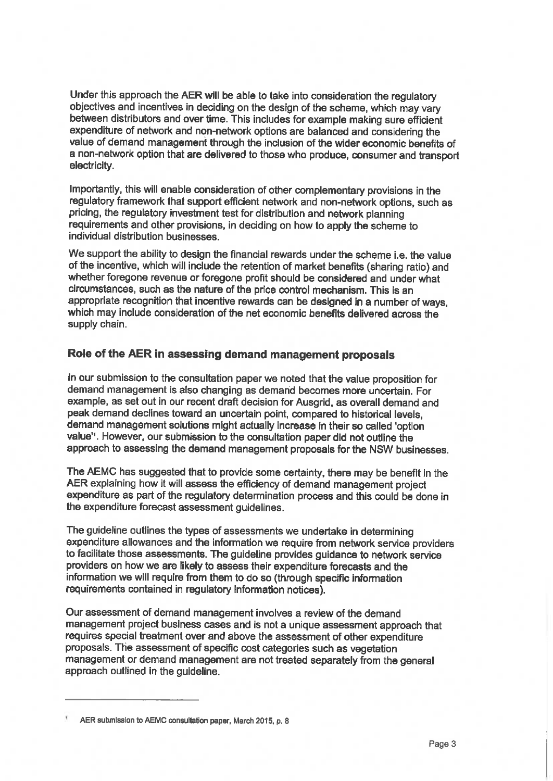Under this approach the AER will be able to take into consideration the regulatory objectives and incentives in deciding on the design of the scheme, which may vary between distributors and over time. This includes for example making sure efficient expenditure of network and non-network options are balanced and considering the value of demand management through the inclusion of the wider economic benefits of a non-network option that are delivered to those who produce, consumer and transport electricity.

Importantly, this will enable consideration of other complementary provisions in the regulatory framework that support efficient network and non-network options, such as pricing, the regulatory investment test for distribution and network planning requirements and other provisions, in deciding on how to apply the scheme to individual distribution businesses.

We support the ability to design the financial rewards under the scheme i.e. the value of the incentive, which will include the retention of market benefits (sharing ratio) and whether foregone revenue or foregone profit should be considered and under what circumstances, such as the nature of the price control mechanism. This is an appropriate recognition that incentive rewards can be designed in a number of ways, which may include consideration of the net economic benefits delivered across the supply chain.

# Role of the AER in assessing demand management proposals

In our submission to the consultation paper we noted that the value proposition for demand management is also changing as demand becomes more uncertain. For example, as set out in our recent draft decision for Ausgrid, as overall demand and peak demand declines toward an uncertain point, compared to historical levels, demand management solutions might actually increase in their so called 'option value". However, our submission to the consultation paper did not outline the approach to assessing the demand management proposals for the NSW businesses.

The AEMC has suggested that to provide some certainty, there may be benefit in the AER explaining how it will assess the efficiency of demand management project expenditure as part of the regulatory determination process and this could be done in the expenditure forecast assessment guidelines.

The guideline outlines the types of assessments we undertake in determining expenditure allowances and the information we require from network service providers to facilitate those assessments. The guideline provides guidance to network service providers on how we are likely to assess their expenditure forecasts and the information we will require from them to do so (through specific information requirements contained in regulatory information notices).

Our assessment of demand management involves a review of the demand management project business cases and is not a unique assessment approach that requires special treatment over and above the assessment of other expenditure proposals. The assessment of specific cost categories such as vegetation management or demand management are not treated separately from the general approach outlined in the guideline.

AER submission to AEMC consultation paper, March 2015, p. 8